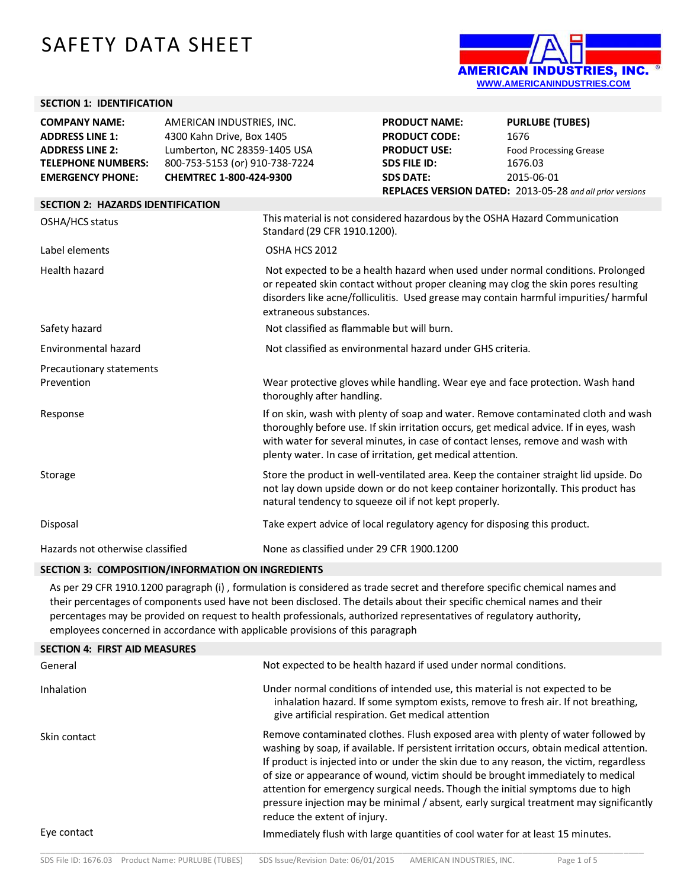# SAFETY DATA SHEET



## **SECTION 1: IDENTIFICATION**

| 4300 Kahn Drive, Box 1405<br><b>ADDRESS LINE 1:</b><br><b>PRODUCT CODE:</b><br>1676<br>Lumberton, NC 28359-1405 USA<br><b>ADDRESS LINE 2:</b><br><b>PRODUCT USE:</b>                                                                          | <b>Food Processing Grease</b>                                                                                                                                                                                                                                   |  |  |
|-----------------------------------------------------------------------------------------------------------------------------------------------------------------------------------------------------------------------------------------------|-----------------------------------------------------------------------------------------------------------------------------------------------------------------------------------------------------------------------------------------------------------------|--|--|
|                                                                                                                                                                                                                                               |                                                                                                                                                                                                                                                                 |  |  |
|                                                                                                                                                                                                                                               |                                                                                                                                                                                                                                                                 |  |  |
| 800-753-5153 (or) 910-738-7224<br><b>TELEPHONE NUMBERS:</b><br><b>SDS FILE ID:</b><br>1676.03                                                                                                                                                 |                                                                                                                                                                                                                                                                 |  |  |
| CHEMTREC 1-800-424-9300<br><b>EMERGENCY PHONE:</b><br><b>SDS DATE:</b><br>2015-06-01                                                                                                                                                          |                                                                                                                                                                                                                                                                 |  |  |
| REPLACES VERSION DATED: 2013-05-28 and all prior versions                                                                                                                                                                                     |                                                                                                                                                                                                                                                                 |  |  |
| <b>SECTION 2: HAZARDS IDENTIFICATION</b>                                                                                                                                                                                                      |                                                                                                                                                                                                                                                                 |  |  |
| This material is not considered hazardous by the OSHA Hazard Communication<br>OSHA/HCS status<br>Standard (29 CFR 1910.1200).                                                                                                                 |                                                                                                                                                                                                                                                                 |  |  |
| OSHA HCS 2012<br>Label elements                                                                                                                                                                                                               |                                                                                                                                                                                                                                                                 |  |  |
| <b>Health hazard</b><br>extraneous substances.                                                                                                                                                                                                | Not expected to be a health hazard when used under normal conditions. Prolonged<br>or repeated skin contact without proper cleaning may clog the skin pores resulting<br>disorders like acne/folliculitis. Used grease may contain harmful impurities/ harmful  |  |  |
| Not classified as flammable but will burn.<br>Safety hazard                                                                                                                                                                                   |                                                                                                                                                                                                                                                                 |  |  |
| Environmental hazard<br>Not classified as environmental hazard under GHS criteria.                                                                                                                                                            |                                                                                                                                                                                                                                                                 |  |  |
| Precautionary statements                                                                                                                                                                                                                      |                                                                                                                                                                                                                                                                 |  |  |
| Wear protective gloves while handling. Wear eye and face protection. Wash hand<br>Prevention<br>thoroughly after handling.                                                                                                                    |                                                                                                                                                                                                                                                                 |  |  |
| Response<br>plenty water. In case of irritation, get medical attention.                                                                                                                                                                       | If on skin, wash with plenty of soap and water. Remove contaminated cloth and wash<br>thoroughly before use. If skin irritation occurs, get medical advice. If in eyes, wash<br>with water for several minutes, in case of contact lenses, remove and wash with |  |  |
| Store the product in well-ventilated area. Keep the container straight lid upside. Do<br>Storage<br>not lay down upside down or do not keep container horizontally. This product has<br>natural tendency to squeeze oil if not kept properly. |                                                                                                                                                                                                                                                                 |  |  |
| Take expert advice of local regulatory agency for disposing this product.<br>Disposal                                                                                                                                                         |                                                                                                                                                                                                                                                                 |  |  |
| None as classified under 29 CFR 1900.1200<br>Hazards not otherwise classified                                                                                                                                                                 |                                                                                                                                                                                                                                                                 |  |  |

#### **SECTION 3: COMPOSITION/INFORMATION ON INGREDIENTS**

As per 29 CFR 1910.1200 paragraph (i) , formulation is considered as trade secret and therefore specific chemical names and their percentages of components used have not been disclosed. The details about their specific chemical names and their percentages may be provided on request to health professionals, authorized representatives of regulatory authority, employees concerned in accordance with applicable provisions of this paragraph

| <b>SECTION 4: FIRST AID MEASURES</b> |                                                                                                                                                                                                                                                                                                                                                                                                                                                                                                                                                                          |
|--------------------------------------|--------------------------------------------------------------------------------------------------------------------------------------------------------------------------------------------------------------------------------------------------------------------------------------------------------------------------------------------------------------------------------------------------------------------------------------------------------------------------------------------------------------------------------------------------------------------------|
| General                              | Not expected to be health hazard if used under normal conditions.                                                                                                                                                                                                                                                                                                                                                                                                                                                                                                        |
| Inhalation                           | Under normal conditions of intended use, this material is not expected to be<br>inhalation hazard. If some symptom exists, remove to fresh air. If not breathing,<br>give artificial respiration. Get medical attention                                                                                                                                                                                                                                                                                                                                                  |
| Skin contact                         | Remove contaminated clothes. Flush exposed area with plenty of water followed by<br>washing by soap, if available. If persistent irritation occurs, obtain medical attention.<br>If product is injected into or under the skin due to any reason, the victim, regardless<br>of size or appearance of wound, victim should be brought immediately to medical<br>attention for emergency surgical needs. Though the initial symptoms due to high<br>pressure injection may be minimal / absent, early surgical treatment may significantly<br>reduce the extent of injury. |
| Eye contact                          | Immediately flush with large quantities of cool water for at least 15 minutes.                                                                                                                                                                                                                                                                                                                                                                                                                                                                                           |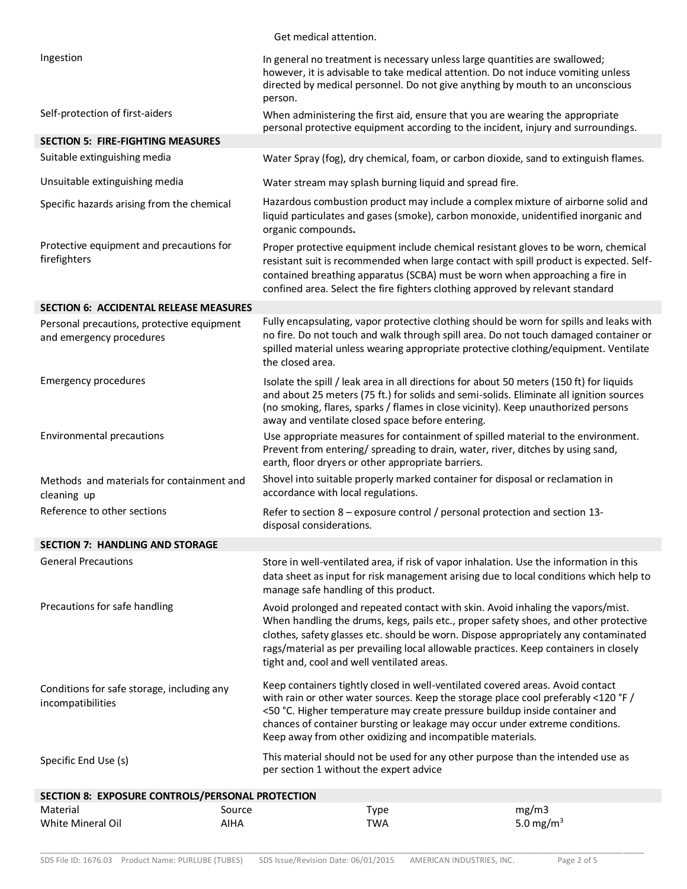| White Mineral Oil                                                                                                       | <b>AIHA</b> | <b>TWA</b>                                                                                                                                                                                                                                                                                                  | 5.0 mg/m <sup>3</sup>                                                                                                                                                                                                                                                   |  |
|-------------------------------------------------------------------------------------------------------------------------|-------------|-------------------------------------------------------------------------------------------------------------------------------------------------------------------------------------------------------------------------------------------------------------------------------------------------------------|-------------------------------------------------------------------------------------------------------------------------------------------------------------------------------------------------------------------------------------------------------------------------|--|
| SECTION 8: EXPOSURE CONTROLS/PERSONAL PROTECTION<br>Material                                                            | Source      | <b>Type</b>                                                                                                                                                                                                                                                                                                 | mg/m3                                                                                                                                                                                                                                                                   |  |
| Specific End Use (s)                                                                                                    |             | This material should not be used for any other purpose than the intended use as<br>per section 1 without the expert advice                                                                                                                                                                                  |                                                                                                                                                                                                                                                                         |  |
| Conditions for safe storage, including any<br>incompatibilities                                                         |             | Keep containers tightly closed in well-ventilated covered areas. Avoid contact<br><50 °C. Higher temperature may create pressure buildup inside container and<br>chances of container bursting or leakage may occur under extreme conditions.<br>Keep away from other oxidizing and incompatible materials. | with rain or other water sources. Keep the storage place cool preferably <120 °F /                                                                                                                                                                                      |  |
| Precautions for safe handling                                                                                           |             | Avoid prolonged and repeated contact with skin. Avoid inhaling the vapors/mist.<br>tight and, cool and well ventilated areas.                                                                                                                                                                               | When handling the drums, kegs, pails etc., proper safety shoes, and other protective<br>clothes, safety glasses etc. should be worn. Dispose appropriately any contaminated<br>rags/material as per prevailing local allowable practices. Keep containers in closely    |  |
| <b>General Precautions</b>                                                                                              |             | manage safe handling of this product.                                                                                                                                                                                                                                                                       | Store in well-ventilated area, if risk of vapor inhalation. Use the information in this<br>data sheet as input for risk management arising due to local conditions which help to                                                                                        |  |
| <b>SECTION 7: HANDLING AND STORAGE</b>                                                                                  |             |                                                                                                                                                                                                                                                                                                             |                                                                                                                                                                                                                                                                         |  |
| Reference to other sections                                                                                             |             | Refer to section 8 – exposure control / personal protection and section 13-<br>disposal considerations.                                                                                                                                                                                                     |                                                                                                                                                                                                                                                                         |  |
| Methods and materials for containment and<br>cleaning up                                                                |             | Shovel into suitable properly marked container for disposal or reclamation in<br>accordance with local regulations.                                                                                                                                                                                         |                                                                                                                                                                                                                                                                         |  |
| Environmental precautions                                                                                               |             | Prevent from entering/ spreading to drain, water, river, ditches by using sand,<br>earth, floor dryers or other appropriate barriers.                                                                                                                                                                       | Use appropriate measures for containment of spilled material to the environment.                                                                                                                                                                                        |  |
| <b>Emergency procedures</b>                                                                                             |             | (no smoking, flares, sparks / flames in close vicinity). Keep unauthorized persons<br>away and ventilate closed space before entering.                                                                                                                                                                      | Isolate the spill / leak area in all directions for about 50 meters (150 ft) for liquids<br>and about 25 meters (75 ft.) for solids and semi-solids. Eliminate all ignition sources                                                                                     |  |
| <b>SECTION 6: ACCIDENTAL RELEASE MEASURES</b><br>Personal precautions, protective equipment<br>and emergency procedures |             | the closed area.                                                                                                                                                                                                                                                                                            | Fully encapsulating, vapor protective clothing should be worn for spills and leaks with<br>no fire. Do not touch and walk through spill area. Do not touch damaged container or<br>spilled material unless wearing appropriate protective clothing/equipment. Ventilate |  |
|                                                                                                                         |             | contained breathing apparatus (SCBA) must be worn when approaching a fire in<br>confined area. Select the fire fighters clothing approved by relevant standard                                                                                                                                              |                                                                                                                                                                                                                                                                         |  |
| Protective equipment and precautions for<br>firefighters                                                                |             |                                                                                                                                                                                                                                                                                                             | Proper protective equipment include chemical resistant gloves to be worn, chemical<br>resistant suit is recommended when large contact with spill product is expected. Self-                                                                                            |  |
| Specific hazards arising from the chemical                                                                              |             | Hazardous combustion product may include a complex mixture of airborne solid and<br>liquid particulates and gases (smoke), carbon monoxide, unidentified inorganic and<br>organic compounds.                                                                                                                |                                                                                                                                                                                                                                                                         |  |
| Unsuitable extinguishing media                                                                                          |             | Water stream may splash burning liquid and spread fire.                                                                                                                                                                                                                                                     |                                                                                                                                                                                                                                                                         |  |
| <b>SECTION 5: FIRE-FIGHTING MEASURES</b><br>Suitable extinguishing media                                                |             |                                                                                                                                                                                                                                                                                                             | Water Spray (fog), dry chemical, foam, or carbon dioxide, sand to extinguish flames.                                                                                                                                                                                    |  |
| Self-protection of first-aiders                                                                                         |             | When administering the first aid, ensure that you are wearing the appropriate                                                                                                                                                                                                                               | personal protective equipment according to the incident, injury and surroundings.                                                                                                                                                                                       |  |
| Ingestion                                                                                                               |             | In general no treatment is necessary unless large quantities are swallowed;<br>however, it is advisable to take medical attention. Do not induce vomiting unless<br>directed by medical personnel. Do not give anything by mouth to an unconscious<br>person.                                               |                                                                                                                                                                                                                                                                         |  |
|                                                                                                                         |             | Get medical attention.                                                                                                                                                                                                                                                                                      |                                                                                                                                                                                                                                                                         |  |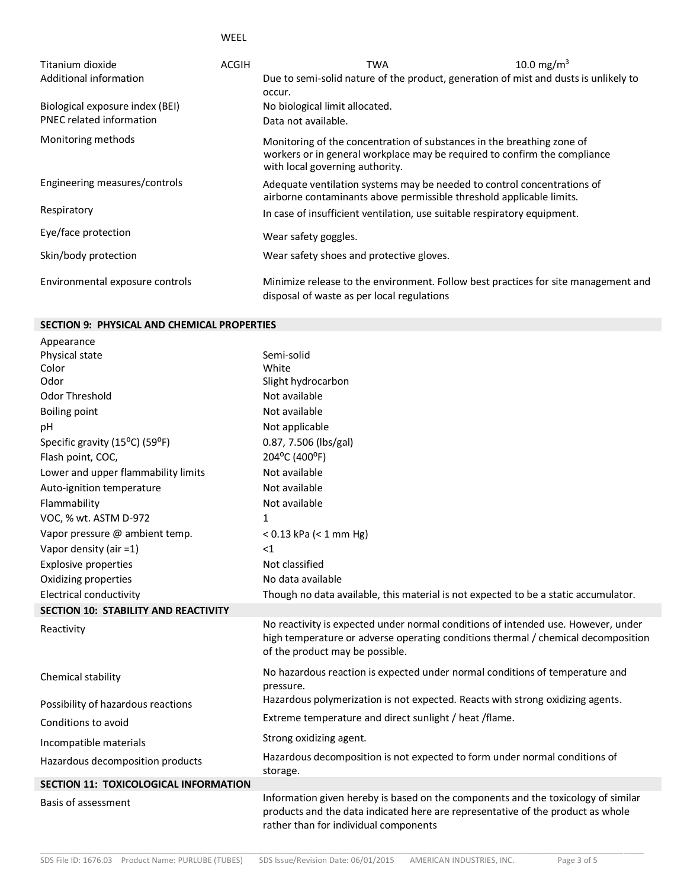WEEL

| Titanium dioxide                | ACGIH | TWA                                                                                                                                                                                    | 10.0 mg/m <sup>3</sup> |  |
|---------------------------------|-------|----------------------------------------------------------------------------------------------------------------------------------------------------------------------------------------|------------------------|--|
| Additional information          |       | Due to semi-solid nature of the product, generation of mist and dusts is unlikely to                                                                                                   |                        |  |
|                                 |       | occur.                                                                                                                                                                                 |                        |  |
| Biological exposure index (BEI) |       | No biological limit allocated.                                                                                                                                                         |                        |  |
| PNEC related information        |       | Data not available.                                                                                                                                                                    |                        |  |
| Monitoring methods              |       | Monitoring of the concentration of substances in the breathing zone of<br>workers or in general workplace may be required to confirm the compliance<br>with local governing authority. |                        |  |
| Engineering measures/controls   |       | Adequate ventilation systems may be needed to control concentrations of<br>airborne contaminants above permissible threshold applicable limits.                                        |                        |  |
| Respiratory                     |       | In case of insufficient ventilation, use suitable respiratory equipment.                                                                                                               |                        |  |
| Eye/face protection             |       | Wear safety goggles.                                                                                                                                                                   |                        |  |
| Skin/body protection            |       | Wear safety shoes and protective gloves.                                                                                                                                               |                        |  |
| Environmental exposure controls |       | Minimize release to the environment. Follow best practices for site management and<br>disposal of waste as per local regulations                                                       |                        |  |

## **SECTION 9: PHYSICAL AND CHEMICAL PROPERTIES**

| Appearance                                   |                                                                                                                                                                                                               |
|----------------------------------------------|---------------------------------------------------------------------------------------------------------------------------------------------------------------------------------------------------------------|
| Physical state                               | Semi-solid                                                                                                                                                                                                    |
| Color                                        | White                                                                                                                                                                                                         |
| Odor                                         | Slight hydrocarbon                                                                                                                                                                                            |
| Odor Threshold                               | Not available                                                                                                                                                                                                 |
| <b>Boiling point</b>                         | Not available                                                                                                                                                                                                 |
| pH                                           | Not applicable                                                                                                                                                                                                |
| Specific gravity (15°C) (59°F)               | 0.87, 7.506 (lbs/gal)                                                                                                                                                                                         |
| Flash point, COC,                            | 204°C (400°F)                                                                                                                                                                                                 |
| Lower and upper flammability limits          | Not available                                                                                                                                                                                                 |
| Auto-ignition temperature                    | Not available                                                                                                                                                                                                 |
| Flammability                                 | Not available                                                                                                                                                                                                 |
| VOC, % wt. ASTM D-972                        | 1                                                                                                                                                                                                             |
| Vapor pressure @ ambient temp.               | $< 0.13$ kPa ( $< 1$ mm Hg)                                                                                                                                                                                   |
| Vapor density (air =1)                       | <1                                                                                                                                                                                                            |
| <b>Explosive properties</b>                  | Not classified                                                                                                                                                                                                |
| Oxidizing properties                         | No data available                                                                                                                                                                                             |
| <b>Electrical conductivity</b>               | Though no data available, this material is not expected to be a static accumulator.                                                                                                                           |
| <b>SECTION 10: STABILITY AND REACTIVITY</b>  |                                                                                                                                                                                                               |
| Reactivity                                   | No reactivity is expected under normal conditions of intended use. However, under<br>high temperature or adverse operating conditions thermal / chemical decomposition<br>of the product may be possible.     |
| Chemical stability                           | No hazardous reaction is expected under normal conditions of temperature and<br>pressure.                                                                                                                     |
| Possibility of hazardous reactions           | Hazardous polymerization is not expected. Reacts with strong oxidizing agents.                                                                                                                                |
| Conditions to avoid                          | Extreme temperature and direct sunlight / heat / flame.                                                                                                                                                       |
| Incompatible materials                       | Strong oxidizing agent.                                                                                                                                                                                       |
| Hazardous decomposition products             | Hazardous decomposition is not expected to form under normal conditions of<br>storage.                                                                                                                        |
| <b>SECTION 11: TOXICOLOGICAL INFORMATION</b> |                                                                                                                                                                                                               |
| Basis of assessment                          | Information given hereby is based on the components and the toxicology of similar<br>products and the data indicated here are representative of the product as whole<br>rather than for individual components |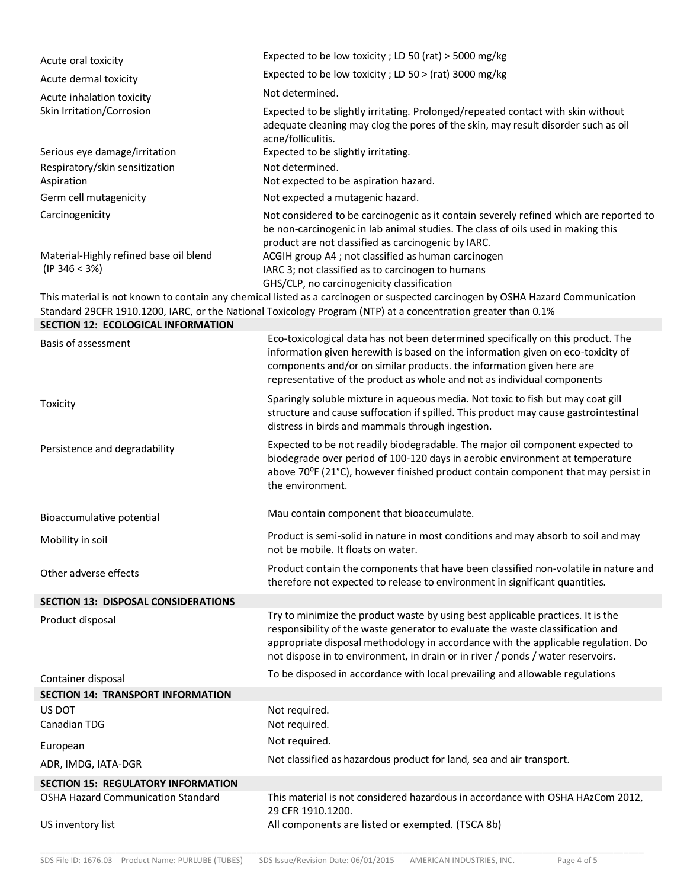| Acute oral toxicity                                                        | Expected to be low toxicity; LD 50 (rat) > 5000 mg/kg                                                                                                                                                                                                                                                                                         |
|----------------------------------------------------------------------------|-----------------------------------------------------------------------------------------------------------------------------------------------------------------------------------------------------------------------------------------------------------------------------------------------------------------------------------------------|
| Acute dermal toxicity                                                      | Expected to be low toxicity; LD 50 > (rat) 3000 mg/kg                                                                                                                                                                                                                                                                                         |
| Acute inhalation toxicity                                                  | Not determined.                                                                                                                                                                                                                                                                                                                               |
| Skin Irritation/Corrosion                                                  | Expected to be slightly irritating. Prolonged/repeated contact with skin without<br>adequate cleaning may clog the pores of the skin, may result disorder such as oil<br>acne/folliculitis.                                                                                                                                                   |
| Serious eye damage/irritation                                              | Expected to be slightly irritating.                                                                                                                                                                                                                                                                                                           |
| Respiratory/skin sensitization<br>Aspiration                               | Not determined.<br>Not expected to be aspiration hazard.                                                                                                                                                                                                                                                                                      |
| Germ cell mutagenicity                                                     | Not expected a mutagenic hazard.                                                                                                                                                                                                                                                                                                              |
| Carcinogenicity<br>Material-Highly refined base oil blend<br>(IP 346 < 3%) | Not considered to be carcinogenic as it contain severely refined which are reported to<br>be non-carcinogenic in lab animal studies. The class of oils used in making this<br>product are not classified as carcinogenic by IARC.<br>ACGIH group A4 ; not classified as human carcinogen<br>IARC 3; not classified as to carcinogen to humans |
|                                                                            | GHS/CLP, no carcinogenicity classification                                                                                                                                                                                                                                                                                                    |
| <b>SECTION 12: ECOLOGICAL INFORMATION</b>                                  | This material is not known to contain any chemical listed as a carcinogen or suspected carcinogen by OSHA Hazard Communication<br>Standard 29CFR 1910.1200, IARC, or the National Toxicology Program (NTP) at a concentration greater than 0.1%                                                                                               |
| Basis of assessment                                                        | Eco-toxicological data has not been determined specifically on this product. The<br>information given herewith is based on the information given on eco-toxicity of<br>components and/or on similar products. the information given here are<br>representative of the product as whole and not as individual components                       |
| Toxicity                                                                   | Sparingly soluble mixture in aqueous media. Not toxic to fish but may coat gill<br>structure and cause suffocation if spilled. This product may cause gastrointestinal<br>distress in birds and mammals through ingestion.                                                                                                                    |
| Persistence and degradability                                              | Expected to be not readily biodegradable. The major oil component expected to<br>biodegrade over period of 100-120 days in aerobic environment at temperature<br>above 70 <sup>o</sup> F (21°C), however finished product contain component that may persist in<br>the environment.                                                           |
| Bioaccumulative potential                                                  | Mau contain component that bioaccumulate.                                                                                                                                                                                                                                                                                                     |
| Mobility in soil                                                           | Product is semi-solid in nature in most conditions and may absorb to soil and may<br>not be mobile. It floats on water.                                                                                                                                                                                                                       |
| Other adverse effects                                                      | Product contain the components that have been classified non-volatile in nature and<br>therefore not expected to release to environment in significant quantities.                                                                                                                                                                            |
| <b>SECTION 13: DISPOSAL CONSIDERATIONS</b>                                 |                                                                                                                                                                                                                                                                                                                                               |
| Product disposal                                                           | Try to minimize the product waste by using best applicable practices. It is the<br>responsibility of the waste generator to evaluate the waste classification and<br>appropriate disposal methodology in accordance with the applicable regulation. Do<br>not dispose in to environment, in drain or in river / ponds / water reservoirs.     |
| Container disposal                                                         | To be disposed in accordance with local prevailing and allowable regulations                                                                                                                                                                                                                                                                  |
| <b>SECTION 14: TRANSPORT INFORMATION</b>                                   |                                                                                                                                                                                                                                                                                                                                               |
| US DOT                                                                     | Not required.                                                                                                                                                                                                                                                                                                                                 |
| Canadian TDG                                                               | Not required.<br>Not required.                                                                                                                                                                                                                                                                                                                |
| European                                                                   | Not classified as hazardous product for land, sea and air transport.                                                                                                                                                                                                                                                                          |
| ADR, IMDG, IATA-DGR                                                        |                                                                                                                                                                                                                                                                                                                                               |
| <b>SECTION 15: REGULATORY INFORMATION</b>                                  |                                                                                                                                                                                                                                                                                                                                               |
| <b>OSHA Hazard Communication Standard</b><br>US inventory list             | This material is not considered hazardous in accordance with OSHA HAzCom 2012,<br>29 CFR 1910.1200.<br>All components are listed or exempted. (TSCA 8b)                                                                                                                                                                                       |
|                                                                            |                                                                                                                                                                                                                                                                                                                                               |